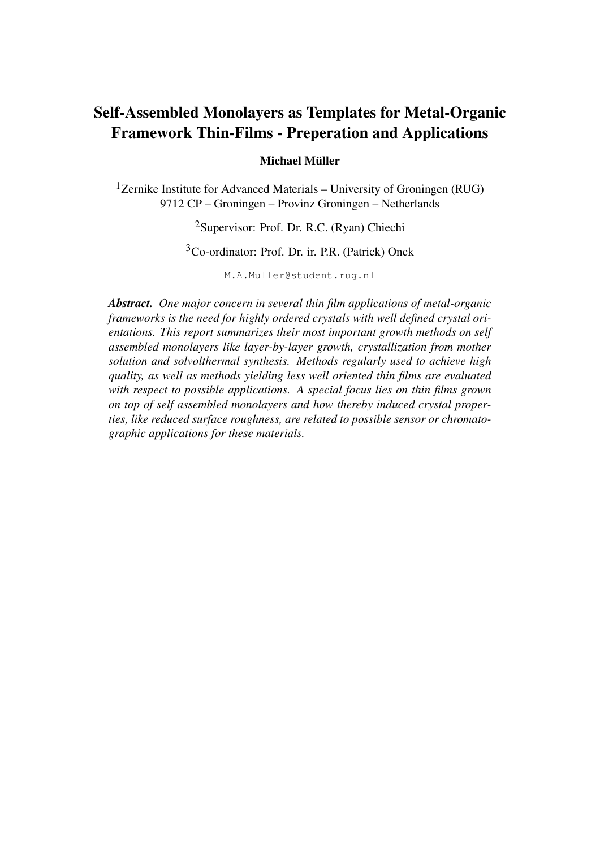## Self-Assembled Monolayers as Templates for Metal-Organic Framework Thin-Films - Preperation and Applications

#### Michael Müller

<sup>1</sup>Zernike Institute for Advanced Materials – University of Groningen (RUG) 9712 CP – Groningen – Provinz Groningen – Netherlands

### <sup>2</sup>Supervisor: Prof. Dr. R.C. (Ryan) Chiechi

## <sup>3</sup>Co-ordinator: Prof. Dr. ir. P.R. (Patrick) Onck

M.A.Muller@student.rug.nl

*Abstract. One major concern in several thin film applications of metal-organic frameworks is the need for highly ordered crystals with well defined crystal orientations. This report summarizes their most important growth methods on self assembled monolayers like layer-by-layer growth, crystallization from mother solution and solvolthermal synthesis. Methods regularly used to achieve high quality, as well as methods yielding less well oriented thin films are evaluated with respect to possible applications. A special focus lies on thin films grown on top of self assembled monolayers and how thereby induced crystal properties, like reduced surface roughness, are related to possible sensor or chromatographic applications for these materials.*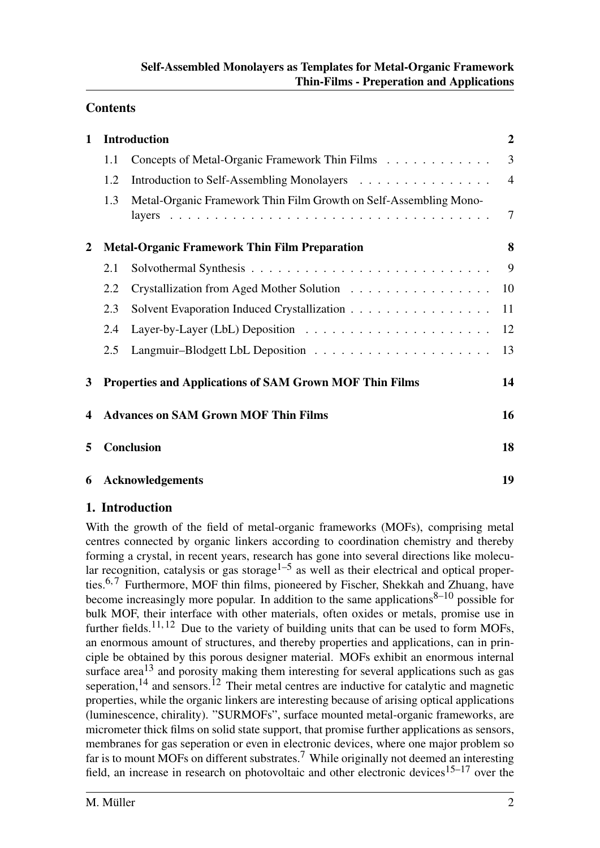## **Contents**

| $\mathbf{1}$            |                                                                                                                                    | <b>Introduction</b>                                               | $\overline{2}$ |
|-------------------------|------------------------------------------------------------------------------------------------------------------------------------|-------------------------------------------------------------------|----------------|
|                         | 1.1                                                                                                                                | Concepts of Metal-Organic Framework Thin Films                    | 3              |
|                         | 1.2                                                                                                                                | Introduction to Self-Assembling Monolayers                        | $\overline{4}$ |
|                         | 1.3                                                                                                                                | Metal-Organic Framework Thin Film Growth on Self-Assembling Mono- | $\tau$         |
| $\boldsymbol{2}$        | <b>Metal-Organic Framework Thin Film Preparation</b>                                                                               |                                                                   |                |
|                         | 2.1                                                                                                                                |                                                                   | 9              |
|                         | 2.2                                                                                                                                | Crystallization from Aged Mother Solution                         | 10             |
|                         | 2.3                                                                                                                                | Solvent Evaporation Induced Crystallization                       | 11             |
|                         | 2.4                                                                                                                                |                                                                   | 12             |
|                         | 2.5                                                                                                                                |                                                                   | 13             |
| 3                       | <b>Properties and Applications of SAM Grown MOF Thin Films</b><br><b>Advances on SAM Grown MOF Thin Films</b><br><b>Conclusion</b> |                                                                   |                |
| $\overline{\mathbf{4}}$ |                                                                                                                                    |                                                                   |                |
| 5                       |                                                                                                                                    |                                                                   |                |
|                         | 6 Acknowledgements                                                                                                                 |                                                                   |                |

#### 1. Introduction

With the growth of the field of metal-organic frameworks (MOFs), comprising metal centres connected by organic linkers according to coordination chemistry and thereby forming a crystal, in recent years, research has gone into several directions like molecular recognition, catalysis or gas storage<sup>1–5</sup> as well as their electrical and optical properties.<sup>6,7</sup> Furthermore, MOF thin films, pioneered by Fischer, Shekkah and Zhuang, have become increasingly more popular. In addition to the same applications $8-10$  possible for bulk MOF, their interface with other materials, often oxides or metals, promise use in further fields.<sup>11, 12</sup> Due to the variety of building units that can be used to form MOFs, an enormous amount of structures, and thereby properties and applications, can in principle be obtained by this porous designer material. MOFs exhibit an enormous internal surface area<sup>13</sup> and porosity making them interesting for several applications such as gas seperation,<sup>14</sup> and sensors.<sup>12</sup> Their metal centres are inductive for catalytic and magnetic properties, while the organic linkers are interesting because of arising optical applications (luminescence, chirality). "SURMOFs", surface mounted metal-organic frameworks, are micrometer thick films on solid state support, that promise further applications as sensors, membranes for gas seperation or even in electronic devices, where one major problem so far is to mount MOFs on different substrates.<sup>7</sup> While originally not deemed an interesting field, an increase in research on photovoltaic and other electronic devices<sup>15–17</sup> over the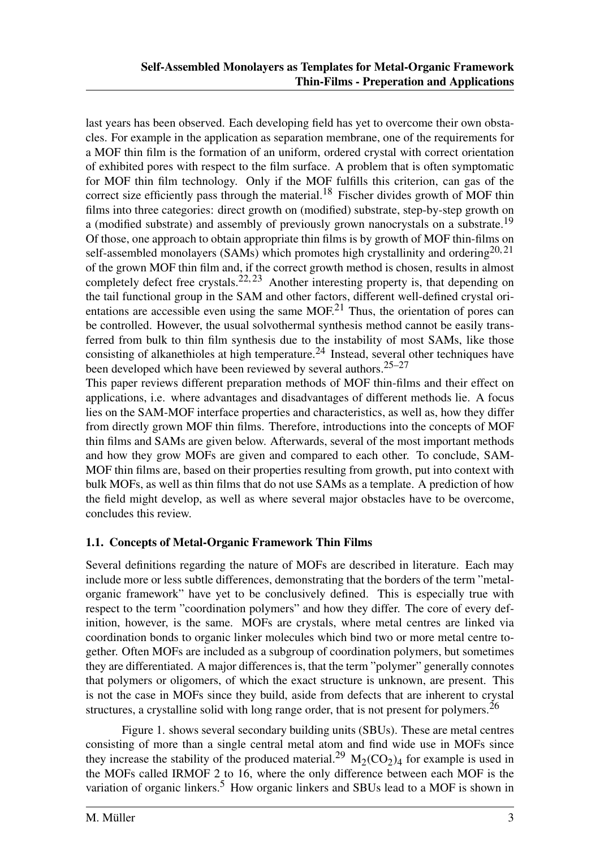last years has been observed. Each developing field has yet to overcome their own obstacles. For example in the application as separation membrane, one of the requirements for a MOF thin film is the formation of an uniform, ordered crystal with correct orientation of exhibited pores with respect to the film surface. A problem that is often symptomatic for MOF thin film technology. Only if the MOF fulfills this criterion, can gas of the correct size efficiently pass through the material.<sup>18</sup> Fischer divides growth of MOF thin films into three categories: direct growth on (modified) substrate, step-by-step growth on a (modified substrate) and assembly of previously grown nanocrystals on a substrate.<sup>19</sup> Of those, one approach to obtain appropriate thin films is by growth of MOF thin-films on self-assembled monolayers (SAMs) which promotes high crystallinity and ordering  $20,21$ of the grown MOF thin film and, if the correct growth method is chosen, results in almost completely defect free crystals.<sup>22, 23</sup> Another interesting property is, that depending on the tail functional group in the SAM and other factors, different well-defined crystal orientations are accessible even using the same  $MOF<sup>21</sup>$ . Thus, the orientation of pores can be controlled. However, the usual solvothermal synthesis method cannot be easily transferred from bulk to thin film synthesis due to the instability of most SAMs, like those consisting of alkanethioles at high temperature.<sup>24</sup> Instead, several other techniques have been developed which have been reviewed by several authors.  $25-27$ 

This paper reviews different preparation methods of MOF thin-films and their effect on applications, i.e. where advantages and disadvantages of different methods lie. A focus lies on the SAM-MOF interface properties and characteristics, as well as, how they differ from directly grown MOF thin films. Therefore, introductions into the concepts of MOF thin films and SAMs are given below. Afterwards, several of the most important methods and how they grow MOFs are given and compared to each other. To conclude, SAM-MOF thin films are, based on their properties resulting from growth, put into context with bulk MOFs, as well as thin films that do not use SAMs as a template. A prediction of how the field might develop, as well as where several major obstacles have to be overcome, concludes this review.

#### 1.1. Concepts of Metal-Organic Framework Thin Films

Several definitions regarding the nature of MOFs are described in literature. Each may include more or less subtle differences, demonstrating that the borders of the term "metalorganic framework" have yet to be conclusively defined. This is especially true with respect to the term "coordination polymers" and how they differ. The core of every definition, however, is the same. MOFs are crystals, where metal centres are linked via coordination bonds to organic linker molecules which bind two or more metal centre together. Often MOFs are included as a subgroup of coordination polymers, but sometimes they are differentiated. A major differences is, that the term "polymer" generally connotes that polymers or oligomers, of which the exact structure is unknown, are present. This is not the case in MOFs since they build, aside from defects that are inherent to crystal structures, a crystalline solid with long range order, that is not present for polymers.<sup>26</sup>

Figure 1. shows several secondary building units (SBUs). These are metal centres consisting of more than a single central metal atom and find wide use in MOFs since they increase the stability of the produced material.<sup>29</sup>  $M_2(CO_2)_4$  for example is used in the MOFs called IRMOF 2 to 16, where the only difference between each MOF is the variation of organic linkers.<sup>5</sup> How organic linkers and SBUs lead to a MOF is shown in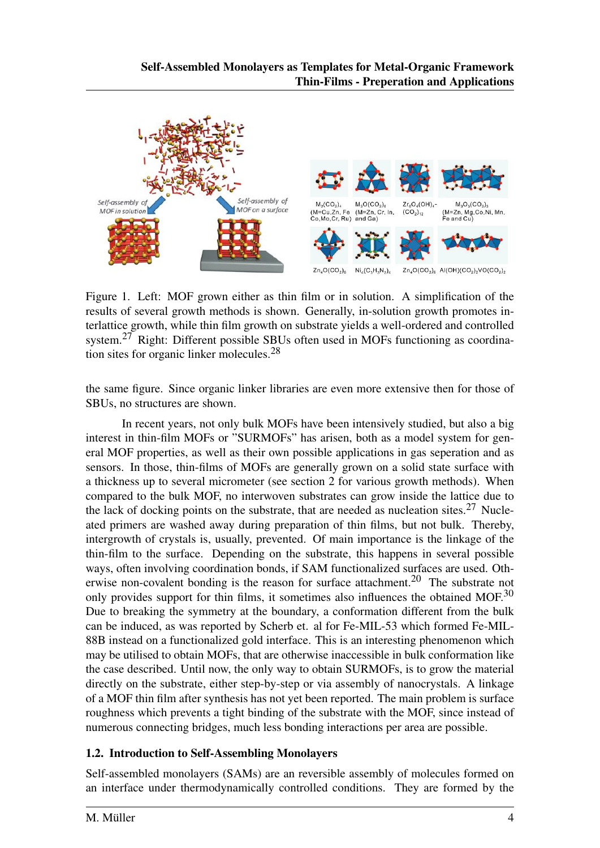

Figure 1. Left: MOF grown either as thin film or in solution. A simplification of the results of several growth methods is shown. Generally, in-solution growth promotes interlattice growth, while thin film growth on substrate yields a well-ordered and controlled system.<sup>27</sup> Right: Different possible SBUs often used in MOFs functioning as coordination sites for organic linker molecules.<sup>28</sup>

the same figure. Since organic linker libraries are even more extensive then for those of SBUs, no structures are shown.

In recent years, not only bulk MOFs have been intensively studied, but also a big interest in thin-film MOFs or "SURMOFs" has arisen, both as a model system for general MOF properties, as well as their own possible applications in gas seperation and as sensors. In those, thin-films of MOFs are generally grown on a solid state surface with a thickness up to several micrometer (see section 2 for various growth methods). When compared to the bulk MOF, no interwoven substrates can grow inside the lattice due to the lack of docking points on the substrate, that are needed as nucleation sites.<sup>27</sup> Nucleated primers are washed away during preparation of thin films, but not bulk. Thereby, intergrowth of crystals is, usually, prevented. Of main importance is the linkage of the thin-film to the surface. Depending on the substrate, this happens in several possible ways, often involving coordination bonds, if SAM functionalized surfaces are used. Otherwise non-covalent bonding is the reason for surface attachment.<sup>20</sup> The substrate not only provides support for thin films, it sometimes also influences the obtained MOF.<sup>30</sup> Due to breaking the symmetry at the boundary, a conformation different from the bulk can be induced, as was reported by Scherb et. al for Fe-MIL-53 which formed Fe-MIL-88B instead on a functionalized gold interface. This is an interesting phenomenon which may be utilised to obtain MOFs, that are otherwise inaccessible in bulk conformation like the case described. Until now, the only way to obtain SURMOFs, is to grow the material directly on the substrate, either step-by-step or via assembly of nanocrystals. A linkage of a MOF thin film after synthesis has not yet been reported. The main problem is surface roughness which prevents a tight binding of the substrate with the MOF, since instead of numerous connecting bridges, much less bonding interactions per area are possible.

#### 1.2. Introduction to Self-Assembling Monolayers

Self-assembled monolayers (SAMs) are an reversible assembly of molecules formed on an interface under thermodynamically controlled conditions. They are formed by the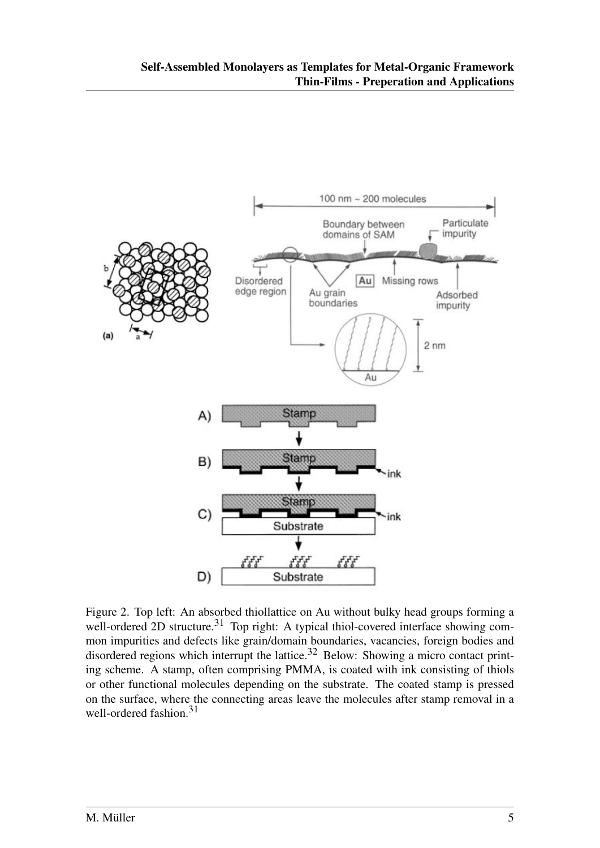

Figure 2. Top left: An absorbed thiollattice on Au without bulky head groups forming a well-ordered 2D structure.<sup>31</sup> Top right: A typical thiol-covered interface showing common impurities and defects like grain/domain boundaries, vacancies, foreign bodies and disordered regions which interrupt the lattice.<sup>32</sup> Below: Showing a micro contact printing scheme. A stamp, often comprising PMMA, is coated with ink consisting of thiols or other functional molecules depending on the substrate. The coated stamp is pressed on the surface, where the connecting areas leave the molecules after stamp removal in a well-ordered fashion.<sup>31</sup>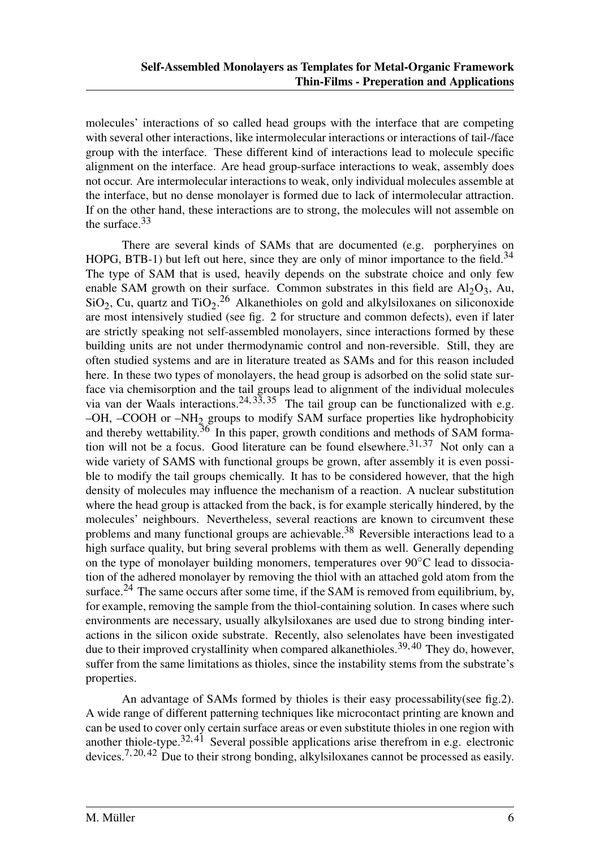molecules' interactions of so called head groups with the interface that are competing with several other interactions, like intermolecular interactions or interactions of tail-/face group with the interface. These different kind of interactions lead to molecule specific alignment on the interface. Are head group-surface interactions to weak, assembly does not occur. Are intermolecular interactions to weak, only individual molecules assemble at the interface, but no dense monolayer is formed due to lack of intermolecular attraction. If on the other hand, these interactions are to strong, the molecules will not assemble on the surface.<sup>33</sup>

There are several kinds of SAMs that are documented (e.g. porpheryines on HOPG, BTB-1) but left out here, since they are only of minor importance to the field.<sup>34</sup> The type of SAM that is used, heavily depends on the substrate choice and only few enable SAM growth on their surface. Common substrates in this field are  $Al_2O_3$ , Au,  $SiO<sub>2</sub>$ , Cu, quartz and TiO<sub>2</sub>.<sup>26</sup> Alkanethioles on gold and alkylsiloxanes on siliconoxide are most intensively studied (see fig. 2 for structure and common defects), even if later are strictly speaking not self-assembled monolayers, since interactions formed by these building units are not under thermodynamic control and non-reversible. Still, they are often studied systems and are in literature treated as SAMs and for this reason included here. In these two types of monolayers, the head group is adsorbed on the solid state surface via chemisorption and the tail groups lead to alignment of the individual molecules via van der Waals interactions.  $24, 33, 35$  The tail group can be functionalized with e.g. –OH, –COOH or  $-NH<sub>2</sub>$  groups to modify SAM surface properties like hydrophobicity and thereby wettability.<sup>36</sup> In this paper, growth conditions and methods of SAM formation will not be a focus. Good literature can be found elsewhere.<sup>31, 37</sup> Not only can a wide variety of SAMS with functional groups be grown, after assembly it is even possible to modify the tail groups chemically. It has to be considered however, that the high density of molecules may influence the mechanism of a reaction. A nuclear substitution where the head group is attacked from the back, is for example sterically hindered, by the molecules' neighbours. Nevertheless, several reactions are known to circumvent these problems and many functional groups are achievable.<sup>38</sup> Reversible interactions lead to a high surface quality, but bring several problems with them as well. Generally depending on the type of monolayer building monomers, temperatures over  $90^{\circ}$ C lead to dissociation of the adhered monolayer by removing the thiol with an attached gold atom from the surface.<sup>24</sup> The same occurs after some time, if the SAM is removed from equilibrium, by, for example, removing the sample from the thiol-containing solution. In cases where such environments are necessary, usually alkylsiloxanes are used due to strong binding interactions in the silicon oxide substrate. Recently, also selenolates have been investigated due to their improved crystallinity when compared alkanethioles.<sup>39, 40</sup> They do, however, suffer from the same limitations as thioles, since the instability stems from the substrate's properties.

An advantage of SAMs formed by thioles is their easy processability(see fig.2). A wide range of different patterning techniques like microcontact printing are known and can be used to cover only certain surface areas or even substitute thioles in one region with another thiole-type.<sup>32, 41</sup> Several possible applications arise therefrom in e.g. electronic devices.7, 20, 42 Due to their strong bonding, alkylsiloxanes cannot be processed as easily.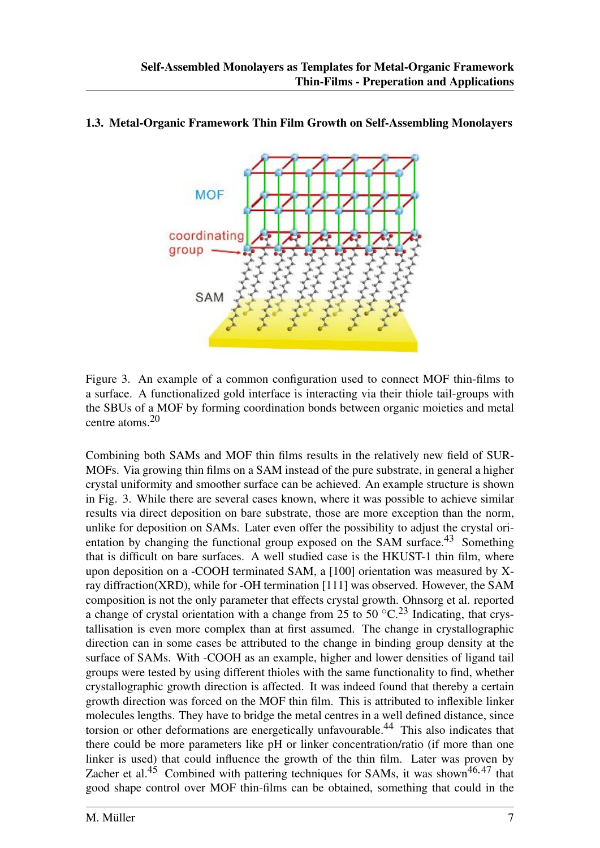

#### 1.3. Metal-Organic Framework Thin Film Growth on Self-Assembling Monolayers

Figure 3. An example of a common configuration used to connect MOF thin-films to a surface. A functionalized gold interface is interacting via their thiole tail-groups with the SBUs of a MOF by forming coordination bonds between organic moieties and metal centre atoms.<sup>20</sup>

Combining both SAMs and MOF thin films results in the relatively new field of SUR-MOFs. Via growing thin films on a SAM instead of the pure substrate, in general a higher crystal uniformity and smoother surface can be achieved. An example structure is shown in Fig. 3. While there are several cases known, where it was possible to achieve similar results via direct deposition on bare substrate, those are more exception than the norm, unlike for deposition on SAMs. Later even offer the possibility to adjust the crystal orientation by changing the functional group exposed on the SAM surface.<sup>43</sup> Something that is difficult on bare surfaces. A well studied case is the HKUST-1 thin film, where upon deposition on a -COOH terminated SAM, a [100] orientation was measured by Xray diffraction(XRD), while for -OH termination [111] was observed. However, the SAM composition is not the only parameter that effects crystal growth. Ohnsorg et al. reported a change of crystal orientation with a change from 25 to 50  $^{\circ}$ C.<sup>23</sup> Indicating, that crystallisation is even more complex than at first assumed. The change in crystallographic direction can in some cases be attributed to the change in binding group density at the surface of SAMs. With -COOH as an example, higher and lower densities of ligand tail groups were tested by using different thioles with the same functionality to find, whether crystallographic growth direction is affected. It was indeed found that thereby a certain growth direction was forced on the MOF thin film. This is attributed to inflexible linker molecules lengths. They have to bridge the metal centres in a well defined distance, since torsion or other deformations are energetically unfavourable.<sup>44</sup> This also indicates that there could be more parameters like pH or linker concentration/ratio (if more than one linker is used) that could influence the growth of the thin film. Later was proven by Zacher et al.<sup>45</sup> Combined with pattering techniques for SAMs, it was shown<sup>46,47</sup> that good shape control over MOF thin-films can be obtained, something that could in the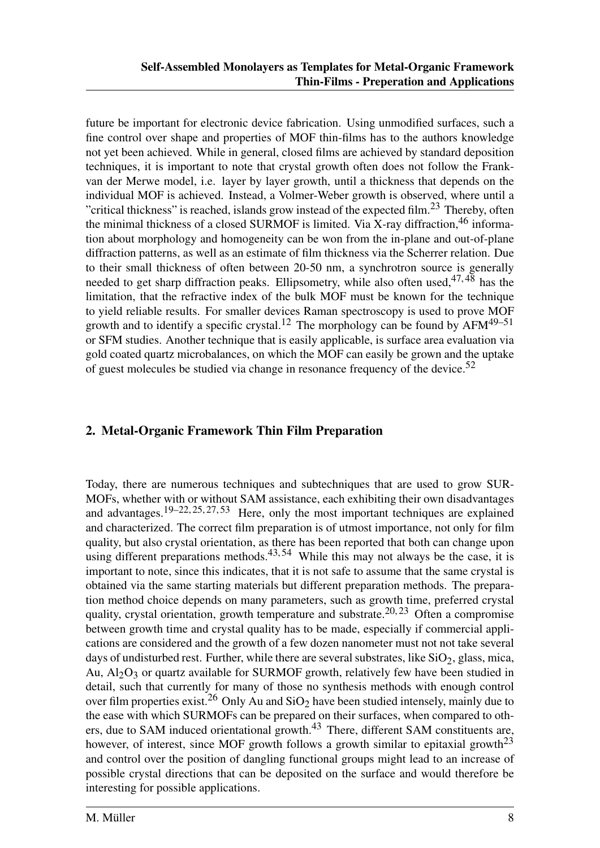future be important for electronic device fabrication. Using unmodified surfaces, such a fine control over shape and properties of MOF thin-films has to the authors knowledge not yet been achieved. While in general, closed films are achieved by standard deposition techniques, it is important to note that crystal growth often does not follow the Frankvan der Merwe model, i.e. layer by layer growth, until a thickness that depends on the individual MOF is achieved. Instead, a Volmer-Weber growth is observed, where until a "critical thickness" is reached, islands grow instead of the expected film.<sup>23</sup> Thereby, often the minimal thickness of a closed SURMOF is limited. Via X-ray diffraction,  $46$  information about morphology and homogeneity can be won from the in-plane and out-of-plane diffraction patterns, as well as an estimate of film thickness via the Scherrer relation. Due to their small thickness of often between 20-50 nm, a synchrotron source is generally needed to get sharp diffraction peaks. Ellipsometry, while also often used,  $47,48$  has the limitation, that the refractive index of the bulk MOF must be known for the technique to yield reliable results. For smaller devices Raman spectroscopy is used to prove MOF growth and to identify a specific crystal.<sup>12</sup> The morphology can be found by  $AFM^{49-51}$ or SFM studies. Another technique that is easily applicable, is surface area evaluation via gold coated quartz microbalances, on which the MOF can easily be grown and the uptake of guest molecules be studied via change in resonance frequency of the device.<sup>52</sup>

#### 2. Metal-Organic Framework Thin Film Preparation

Today, there are numerous techniques and subtechniques that are used to grow SUR-MOFs, whether with or without SAM assistance, each exhibiting their own disadvantages and advantages.<sup>19–22, 25, 27, 53</sup> Here, only the most important techniques are explained and characterized. The correct film preparation is of utmost importance, not only for film quality, but also crystal orientation, as there has been reported that both can change upon using different preparations methods.  $43,54$  While this may not always be the case, it is important to note, since this indicates, that it is not safe to assume that the same crystal is obtained via the same starting materials but different preparation methods. The preparation method choice depends on many parameters, such as growth time, preferred crystal quality, crystal orientation, growth temperature and substrate.<sup>20, 23</sup> Often a compromise between growth time and crystal quality has to be made, especially if commercial applications are considered and the growth of a few dozen nanometer must not not take several days of undisturbed rest. Further, while there are several substrates, like  $\rm SiO_2$ , glass, mica, Au,  $Al_2O_3$  or quartz available for SURMOF growth, relatively few have been studied in detail, such that currently for many of those no synthesis methods with enough control over film properties exist.<sup>26</sup> Only Au and SiO<sub>2</sub> have been studied intensely, mainly due to the ease with which SURMOFs can be prepared on their surfaces, when compared to others, due to SAM induced orientational growth. $43$  There, different SAM constituents are, however, of interest, since MOF growth follows a growth similar to epitaxial growth<sup>23</sup> and control over the position of dangling functional groups might lead to an increase of possible crystal directions that can be deposited on the surface and would therefore be interesting for possible applications.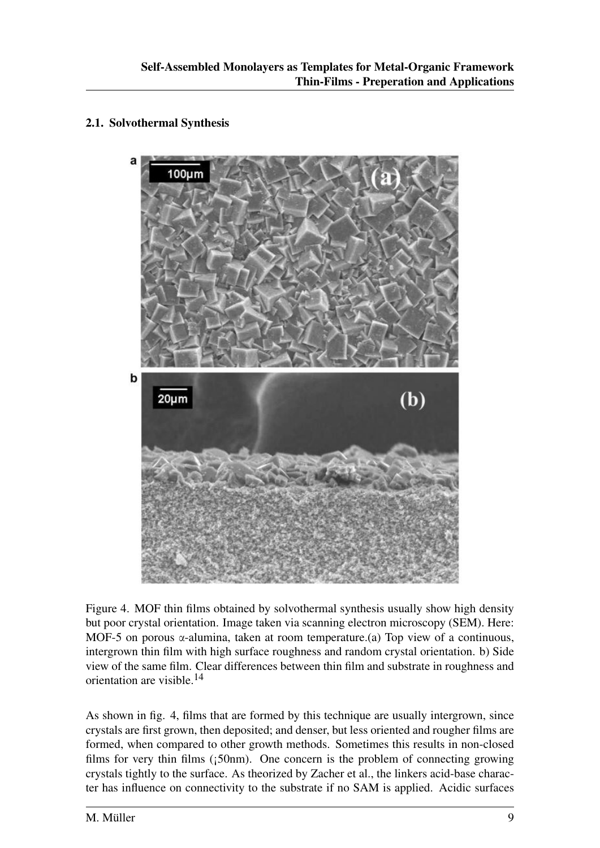#### 2.1. Solvothermal Synthesis



Figure 4. MOF thin films obtained by solvothermal synthesis usually show high density but poor crystal orientation. Image taken via scanning electron microscopy (SEM). Here: MOF-5 on porous  $\alpha$ -alumina, taken at room temperature.(a) Top view of a continuous, intergrown thin film with high surface roughness and random crystal orientation. b) Side view of the same film. Clear differences between thin film and substrate in roughness and orientation are visible.<sup>14</sup>

As shown in fig. 4, films that are formed by this technique are usually intergrown, since crystals are first grown, then deposited; and denser, but less oriented and rougher films are formed, when compared to other growth methods. Sometimes this results in non-closed films for very thin films  $(i50nm)$ . One concern is the problem of connecting growing crystals tightly to the surface. As theorized by Zacher et al., the linkers acid-base character has influence on connectivity to the substrate if no SAM is applied. Acidic surfaces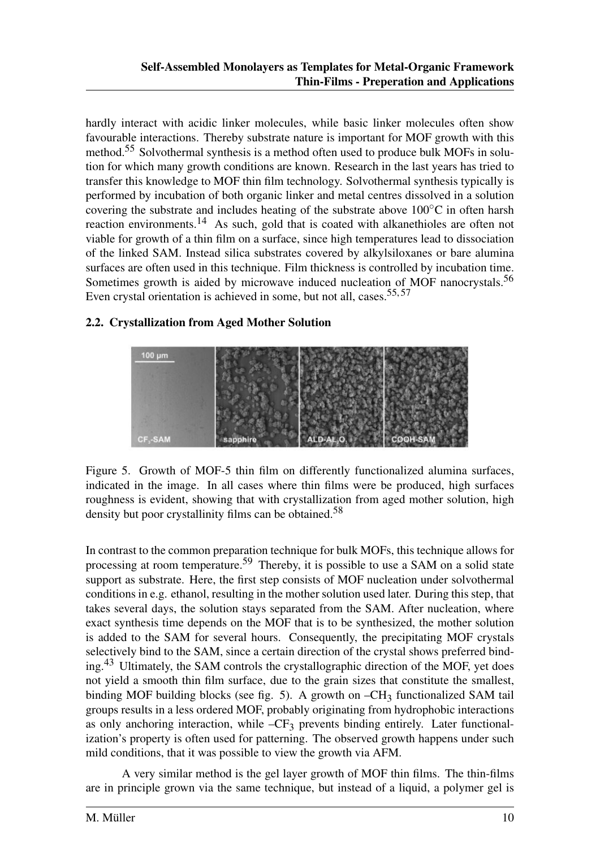hardly interact with acidic linker molecules, while basic linker molecules often show favourable interactions. Thereby substrate nature is important for MOF growth with this method.<sup>55</sup> Solvothermal synthesis is a method often used to produce bulk MOFs in solution for which many growth conditions are known. Research in the last years has tried to transfer this knowledge to MOF thin film technology. Solvothermal synthesis typically is performed by incubation of both organic linker and metal centres dissolved in a solution covering the substrate and includes heating of the substrate above 100◦C in often harsh reaction environments.<sup>14</sup> As such, gold that is coated with alkanethioles are often not viable for growth of a thin film on a surface, since high temperatures lead to dissociation of the linked SAM. Instead silica substrates covered by alkylsiloxanes or bare alumina surfaces are often used in this technique. Film thickness is controlled by incubation time. Sometimes growth is aided by microwave induced nucleation of MOF nanocrystals.<sup>56</sup> Even crystal orientation is achieved in some, but not all, cases.<sup>55, 57</sup>

#### 2.2. Crystallization from Aged Mother Solution



Figure 5. Growth of MOF-5 thin film on differently functionalized alumina surfaces, indicated in the image. In all cases where thin films were be produced, high surfaces roughness is evident, showing that with crystallization from aged mother solution, high density but poor crystallinity films can be obtained.<sup>58</sup>

In contrast to the common preparation technique for bulk MOFs, this technique allows for processing at room temperature.<sup>59</sup> Thereby, it is possible to use a SAM on a solid state support as substrate. Here, the first step consists of MOF nucleation under solvothermal conditions in e.g. ethanol, resulting in the mother solution used later. During this step, that takes several days, the solution stays separated from the SAM. After nucleation, where exact synthesis time depends on the MOF that is to be synthesized, the mother solution is added to the SAM for several hours. Consequently, the precipitating MOF crystals selectively bind to the SAM, since a certain direction of the crystal shows preferred binding.<sup>43</sup> Ultimately, the SAM controls the crystallographic direction of the MOF, yet does not yield a smooth thin film surface, due to the grain sizes that constitute the smallest, binding MOF building blocks (see fig. 5). A growth on  $-CH_3$  functionalized SAM tail groups results in a less ordered MOF, probably originating from hydrophobic interactions as only anchoring interaction, while  $-CF_3$  prevents binding entirely. Later functionalization's property is often used for patterning. The observed growth happens under such mild conditions, that it was possible to view the growth via AFM.

A very similar method is the gel layer growth of MOF thin films. The thin-films are in principle grown via the same technique, but instead of a liquid, a polymer gel is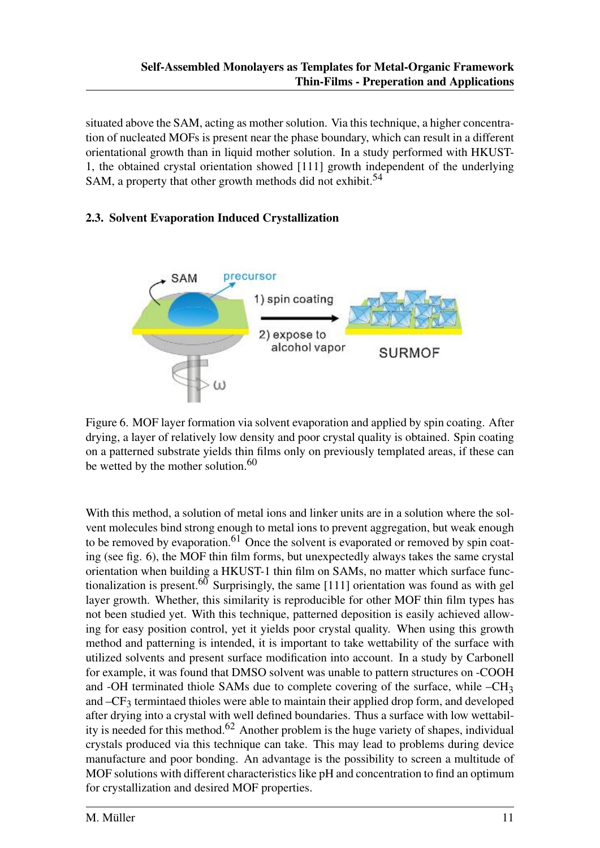situated above the SAM, acting as mother solution. Via this technique, a higher concentration of nucleated MOFs is present near the phase boundary, which can result in a different orientational growth than in liquid mother solution. In a study performed with HKUST-1, the obtained crystal orientation showed [111] growth independent of the underlying SAM, a property that other growth methods did not exhibit.<sup>54</sup>

#### 2.3. Solvent Evaporation Induced Crystallization



Figure 6. MOF layer formation via solvent evaporation and applied by spin coating. After drying, a layer of relatively low density and poor crystal quality is obtained. Spin coating on a patterned substrate yields thin films only on previously templated areas, if these can be wetted by the mother solution.<sup>60</sup>

With this method, a solution of metal ions and linker units are in a solution where the solvent molecules bind strong enough to metal ions to prevent aggregation, but weak enough to be removed by evaporation.<sup>61</sup> Once the solvent is evaporated or removed by spin coating (see fig. 6), the MOF thin film forms, but unexpectedly always takes the same crystal orientation when building a HKUST-1 thin film on SAMs, no matter which surface functionalization is present.<sup>60</sup> Surprisingly, the same [111] orientation was found as with gel layer growth. Whether, this similarity is reproducible for other MOF thin film types has not been studied yet. With this technique, patterned deposition is easily achieved allowing for easy position control, yet it yields poor crystal quality. When using this growth method and patterning is intended, it is important to take wettability of the surface with utilized solvents and present surface modification into account. In a study by Carbonell for example, it was found that DMSO solvent was unable to pattern structures on -COOH and -OH terminated thiole SAMs due to complete covering of the surface, while –CH<sub>3</sub> and  $-CF_3$  termintaed thioles were able to maintain their applied drop form, and developed after drying into a crystal with well defined boundaries. Thus a surface with low wettability is needed for this method.<sup>62</sup> Another problem is the huge variety of shapes, individual crystals produced via this technique can take. This may lead to problems during device manufacture and poor bonding. An advantage is the possibility to screen a multitude of MOF solutions with different characteristics like pH and concentration to find an optimum for crystallization and desired MOF properties.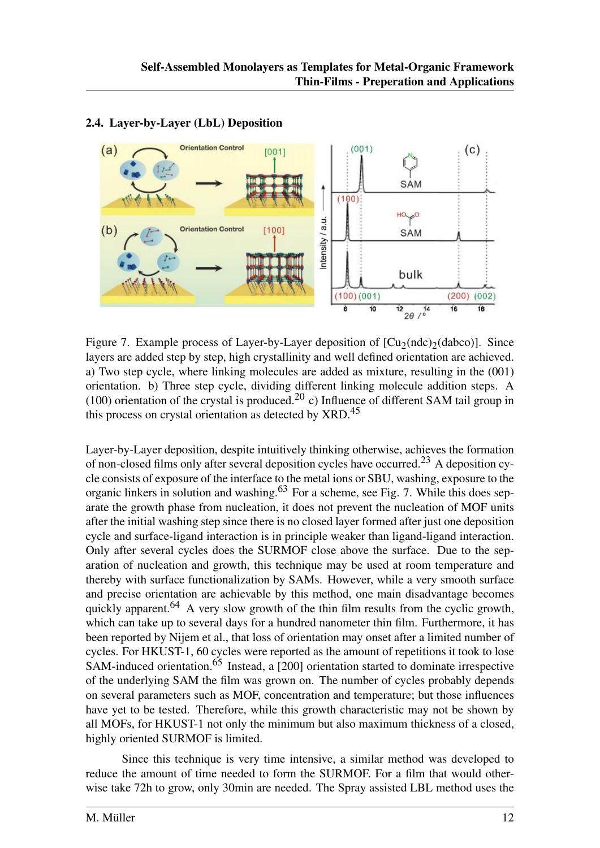

#### 2.4. Layer-by-Layer (LbL) Deposition

Figure 7. Example process of Layer-by-Layer deposition of  $[Cu_2(\text{ndc})_2(\text{dabc})]$ . Since layers are added step by step, high crystallinity and well defined orientation are achieved. a) Two step cycle, where linking molecules are added as mixture, resulting in the (001) orientation. b) Three step cycle, dividing different linking molecule addition steps. A (100) orientation of the crystal is produced.<sup>20</sup> c) Influence of different SAM tail group in this process on crystal orientation as detected by XRD.<sup>45</sup>

Layer-by-Layer deposition, despite intuitively thinking otherwise, achieves the formation of non-closed films only after several deposition cycles have occurred.<sup>23</sup> A deposition cycle consists of exposure of the interface to the metal ions or SBU, washing, exposure to the organic linkers in solution and washing.<sup>63</sup> For a scheme, see Fig. 7. While this does separate the growth phase from nucleation, it does not prevent the nucleation of MOF units after the initial washing step since there is no closed layer formed after just one deposition cycle and surface-ligand interaction is in principle weaker than ligand-ligand interaction. Only after several cycles does the SURMOF close above the surface. Due to the separation of nucleation and growth, this technique may be used at room temperature and thereby with surface functionalization by SAMs. However, while a very smooth surface and precise orientation are achievable by this method, one main disadvantage becomes quickly apparent.<sup>64</sup> A very slow growth of the thin film results from the cyclic growth, which can take up to several days for a hundred nanometer thin film. Furthermore, it has been reported by Nijem et al., that loss of orientation may onset after a limited number of cycles. For HKUST-1, 60 cycles were reported as the amount of repetitions it took to lose SAM-induced orientation.<sup>65</sup> Instead, a [200] orientation started to dominate irrespective of the underlying SAM the film was grown on. The number of cycles probably depends on several parameters such as MOF, concentration and temperature; but those influences have yet to be tested. Therefore, while this growth characteristic may not be shown by all MOFs, for HKUST-1 not only the minimum but also maximum thickness of a closed, highly oriented SURMOF is limited.

Since this technique is very time intensive, a similar method was developed to reduce the amount of time needed to form the SURMOF. For a film that would otherwise take 72h to grow, only 30min are needed. The Spray assisted LBL method uses the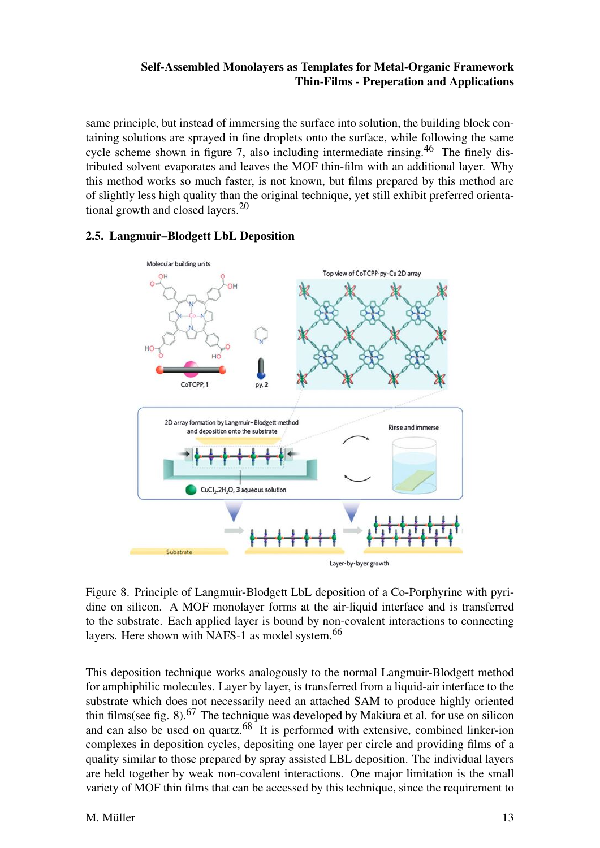same principle, but instead of immersing the surface into solution, the building block containing solutions are sprayed in fine droplets onto the surface, while following the same cycle scheme shown in figure 7, also including intermediate rinsing.<sup>46</sup> The finely distributed solvent evaporates and leaves the MOF thin-film with an additional layer. Why this method works so much faster, is not known, but films prepared by this method are of slightly less high quality than the original technique, yet still exhibit preferred orientational growth and closed layers.<sup>20</sup>

# Molecular building units Top view of CoTCPP-py-Cu 2D array CoTCPP, 1  $pv.2$ 2D array formation by Langmuir-Blodgett method Rinse and immerse and deposition onto the substrate CuCl<sub>2</sub>.2H<sub>2</sub>O, 3 aqueous solution Substrate Layer-by-layer growth

#### 2.5. Langmuir–Blodgett LbL Deposition

Figure 8. Principle of Langmuir-Blodgett LbL deposition of a Co-Porphyrine with pyridine on silicon. A MOF monolayer forms at the air-liquid interface and is transferred to the substrate. Each applied layer is bound by non-covalent interactions to connecting layers. Here shown with NAFS-1 as model system.<sup>66</sup>

This deposition technique works analogously to the normal Langmuir-Blodgett method for amphiphilic molecules. Layer by layer, is transferred from a liquid-air interface to the substrate which does not necessarily need an attached SAM to produce highly oriented thin films(see fig. 8).<sup>67</sup> The technique was developed by Makiura et al. for use on silicon and can also be used on quartz. $68$ <sup>1</sup>It is performed with extensive, combined linker-ion complexes in deposition cycles, depositing one layer per circle and providing films of a quality similar to those prepared by spray assisted LBL deposition. The individual layers are held together by weak non-covalent interactions. One major limitation is the small variety of MOF thin films that can be accessed by this technique, since the requirement to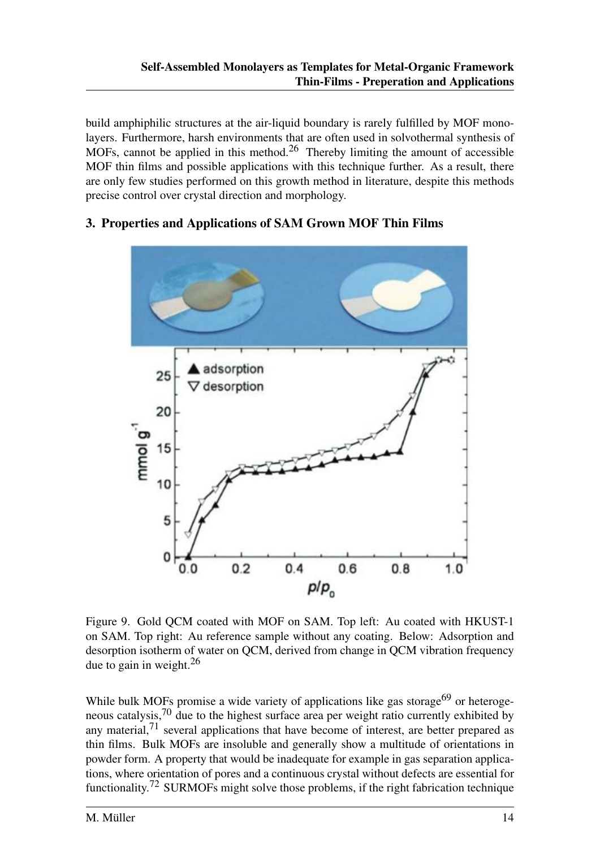build amphiphilic structures at the air-liquid boundary is rarely fulfilled by MOF monolayers. Furthermore, harsh environments that are often used in solvothermal synthesis of MOFs, cannot be applied in this method.<sup>26</sup> Thereby limiting the amount of accessible MOF thin films and possible applications with this technique further. As a result, there are only few studies performed on this growth method in literature, despite this methods precise control over crystal direction and morphology.

## 3. Properties and Applications of SAM Grown MOF Thin Films



Figure 9. Gold QCM coated with MOF on SAM. Top left: Au coated with HKUST-1 on SAM. Top right: Au reference sample without any coating. Below: Adsorption and desorption isotherm of water on QCM, derived from change in QCM vibration frequency due to gain in weight. $^{26}$ 

While bulk MOFs promise a wide variety of applications like gas storage<sup>69</sup> or heterogeneous catalysis,<sup>70</sup> due to the highest surface area per weight ratio currently exhibited by any material, $71$  several applications that have become of interest, are better prepared as thin films. Bulk MOFs are insoluble and generally show a multitude of orientations in powder form. A property that would be inadequate for example in gas separation applications, where orientation of pores and a continuous crystal without defects are essential for functionality.<sup>72</sup> SURMOFs might solve those problems, if the right fabrication technique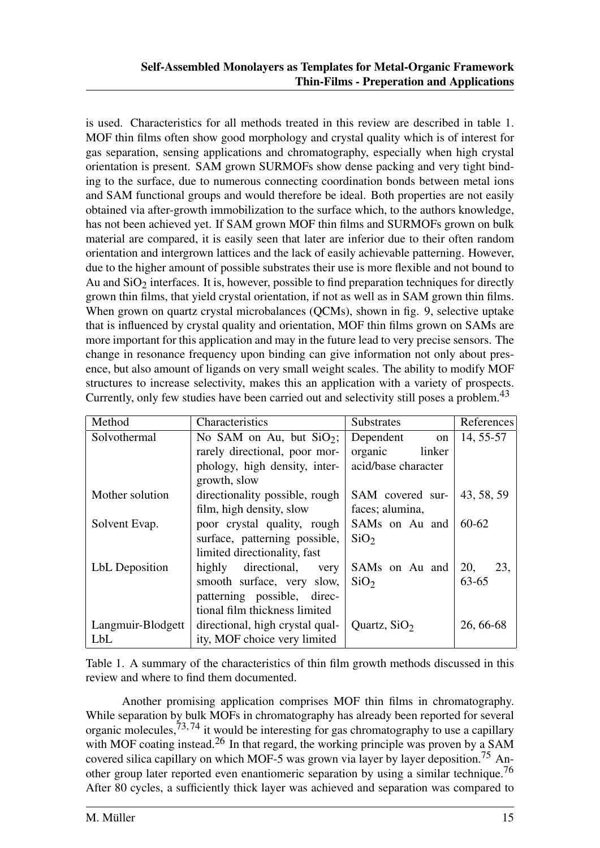is used. Characteristics for all methods treated in this review are described in table 1. MOF thin films often show good morphology and crystal quality which is of interest for gas separation, sensing applications and chromatography, especially when high crystal orientation is present. SAM grown SURMOFs show dense packing and very tight binding to the surface, due to numerous connecting coordination bonds between metal ions and SAM functional groups and would therefore be ideal. Both properties are not easily obtained via after-growth immobilization to the surface which, to the authors knowledge, has not been achieved yet. If SAM grown MOF thin films and SURMOFs grown on bulk material are compared, it is easily seen that later are inferior due to their often random orientation and intergrown lattices and the lack of easily achievable patterning. However, due to the higher amount of possible substrates their use is more flexible and not bound to Au and  $SiO<sub>2</sub>$  interfaces. It is, however, possible to find preparation techniques for directly grown thin films, that yield crystal orientation, if not as well as in SAM grown thin films. When grown on quartz crystal microbalances (QCMs), shown in fig. 9, selective uptake that is influenced by crystal quality and orientation, MOF thin films grown on SAMs are more important for this application and may in the future lead to very precise sensors. The change in resonance frequency upon binding can give information not only about presence, but also amount of ligands on very small weight scales. The ability to modify MOF structures to increase selectivity, makes this an application with a variety of prospects. Currently, only few studies have been carried out and selectivity still poses a problem.<sup>43</sup>

| Method            | Characteristics                 | <b>Substrates</b>          | <b>References</b> |
|-------------------|---------------------------------|----------------------------|-------------------|
| Solvothermal      | No SAM on Au, but $SiO2$ ;      | Dependent<br><sub>on</sub> | 14, 55-57         |
|                   | rarely directional, poor mor-   | organic<br>linker          |                   |
|                   | phology, high density, inter-   | acid/base character        |                   |
|                   | growth, slow                    |                            |                   |
| Mother solution   | directionality possible, rough  | SAM covered sur-           | 43, 58, 59        |
|                   | film, high density, slow        | faces; alumina,            |                   |
| Solvent Evap.     | poor crystal quality, rough     | SAMs on Au and             | 60-62             |
|                   | surface, patterning possible,   | SiO <sub>2</sub>           |                   |
|                   | limited directionality, fast    |                            |                   |
| LbL Deposition    | directional,<br>highly<br>very  | SAMs on Au and             | 20,<br>23,        |
|                   | smooth surface, very slow,      | SiO <sub>2</sub>           | $63 - 65$         |
|                   | patterning possible, direc-     |                            |                   |
|                   | tional film thickness limited   |                            |                   |
| Langmuir-Blodgett | directional, high crystal qual- | Quartz, $SiO2$             | 26, 66-68         |
| LbL               | ity, MOF choice very limited    |                            |                   |

Table 1. A summary of the characteristics of thin film growth methods discussed in this review and where to find them documented.

Another promising application comprises MOF thin films in chromatography. While separation by bulk MOFs in chromatography has already been reported for several organic molecules,  $73, 74$  it would be interesting for gas chromatography to use a capillary with MOF coating instead.<sup>26</sup> In that regard, the working principle was proven by a SAM covered silica capillary on which MOF-5 was grown via layer by layer deposition.<sup>75</sup> Another group later reported even enantiomeric separation by using a similar technique.<sup>76</sup> After 80 cycles, a sufficiently thick layer was achieved and separation was compared to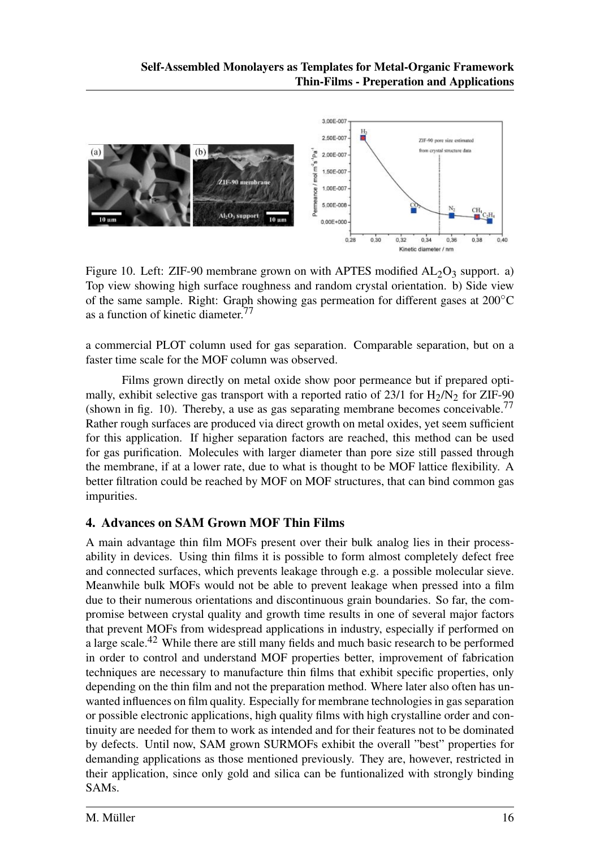

Figure 10. Left: ZIF-90 membrane grown on with APTES modified  $AL_2O_3$  support. a) Top view showing high surface roughness and random crystal orientation. b) Side view of the same sample. Right: Graph showing gas permeation for different gases at 200◦C as a function of kinetic diameter.<sup>77</sup>

a commercial PLOT column used for gas separation. Comparable separation, but on a faster time scale for the MOF column was observed.

Films grown directly on metal oxide show poor permeance but if prepared optimally, exhibit selective gas transport with a reported ratio of 23/1 for  $H_2/N_2$  for ZIF-90 (shown in fig. 10). Thereby, a use as gas separating membrane becomes conceivable.<sup>77</sup> Rather rough surfaces are produced via direct growth on metal oxides, yet seem sufficient for this application. If higher separation factors are reached, this method can be used for gas purification. Molecules with larger diameter than pore size still passed through the membrane, if at a lower rate, due to what is thought to be MOF lattice flexibility. A better filtration could be reached by MOF on MOF structures, that can bind common gas impurities.

## 4. Advances on SAM Grown MOF Thin Films

A main advantage thin film MOFs present over their bulk analog lies in their processability in devices. Using thin films it is possible to form almost completely defect free and connected surfaces, which prevents leakage through e.g. a possible molecular sieve. Meanwhile bulk MOFs would not be able to prevent leakage when pressed into a film due to their numerous orientations and discontinuous grain boundaries. So far, the compromise between crystal quality and growth time results in one of several major factors that prevent MOFs from widespread applications in industry, especially if performed on a large scale.<sup>42</sup> While there are still many fields and much basic research to be performed in order to control and understand MOF properties better, improvement of fabrication techniques are necessary to manufacture thin films that exhibit specific properties, only depending on the thin film and not the preparation method. Where later also often has unwanted influences on film quality. Especially for membrane technologies in gas separation or possible electronic applications, high quality films with high crystalline order and continuity are needed for them to work as intended and for their features not to be dominated by defects. Until now, SAM grown SURMOFs exhibit the overall "best" properties for demanding applications as those mentioned previously. They are, however, restricted in their application, since only gold and silica can be funtionalized with strongly binding SAMs.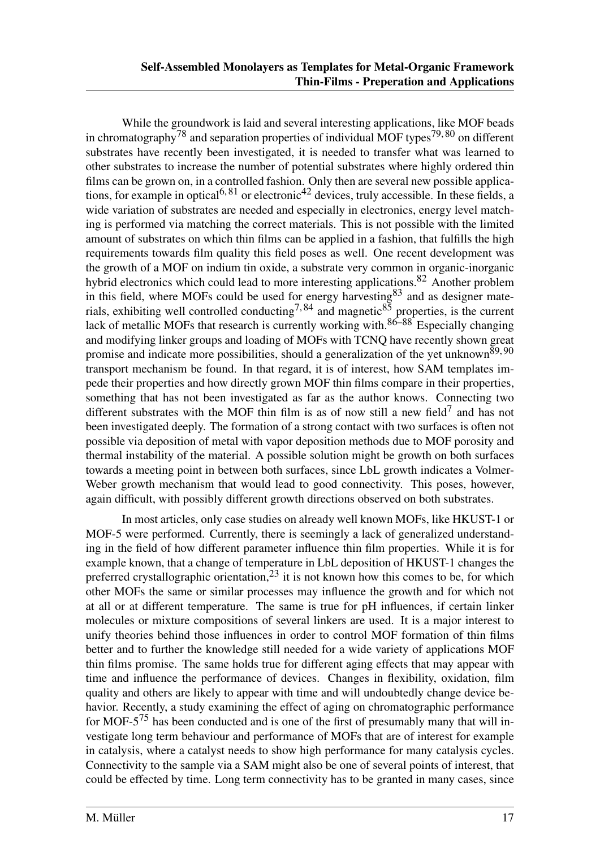While the groundwork is laid and several interesting applications, like MOF beads in chromatography<sup>78</sup> and separation properties of individual MOF types<sup>79,80</sup> on different substrates have recently been investigated, it is needed to transfer what was learned to other substrates to increase the number of potential substrates where highly ordered thin films can be grown on, in a controlled fashion. Only then are several new possible applications, for example in optical<sup>6, 81</sup> or electronic<sup>42</sup> devices, truly accessible. In these fields, a wide variation of substrates are needed and especially in electronics, energy level matching is performed via matching the correct materials. This is not possible with the limited amount of substrates on which thin films can be applied in a fashion, that fulfills the high requirements towards film quality this field poses as well. One recent development was the growth of a MOF on indium tin oxide, a substrate very common in organic-inorganic hybrid electronics which could lead to more interesting applications.<sup>82</sup> Another problem in this field, where MOFs could be used for energy harvesting<sup>83</sup> and as designer materials, exhibiting well controlled conducting<sup>7,84</sup> and magnetic<sup>85</sup> properties, is the current lack of metallic MOFs that research is currently working with.<sup>86–88</sup> Especially changing and modifying linker groups and loading of MOFs with TCNQ have recently shown great promise and indicate more possibilities, should a generalization of the yet unknown<sup>89, 90</sup> transport mechanism be found. In that regard, it is of interest, how SAM templates impede their properties and how directly grown MOF thin films compare in their properties, something that has not been investigated as far as the author knows. Connecting two different substrates with the MOF thin film is as of now still a new field<sup>7</sup> and has not been investigated deeply. The formation of a strong contact with two surfaces is often not possible via deposition of metal with vapor deposition methods due to MOF porosity and thermal instability of the material. A possible solution might be growth on both surfaces towards a meeting point in between both surfaces, since LbL growth indicates a Volmer-Weber growth mechanism that would lead to good connectivity. This poses, however, again difficult, with possibly different growth directions observed on both substrates.

In most articles, only case studies on already well known MOFs, like HKUST-1 or MOF-5 were performed. Currently, there is seemingly a lack of generalized understanding in the field of how different parameter influence thin film properties. While it is for example known, that a change of temperature in LbL deposition of HKUST-1 changes the preferred crystallographic orientation,<sup>23</sup> it is not known how this comes to be, for which other MOFs the same or similar processes may influence the growth and for which not at all or at different temperature. The same is true for pH influences, if certain linker molecules or mixture compositions of several linkers are used. It is a major interest to unify theories behind those influences in order to control MOF formation of thin films better and to further the knowledge still needed for a wide variety of applications MOF thin films promise. The same holds true for different aging effects that may appear with time and influence the performance of devices. Changes in flexibility, oxidation, film quality and others are likely to appear with time and will undoubtedly change device behavior. Recently, a study examining the effect of aging on chromatographic performance for MOF- $5^{75}$  has been conducted and is one of the first of presumably many that will investigate long term behaviour and performance of MOFs that are of interest for example in catalysis, where a catalyst needs to show high performance for many catalysis cycles. Connectivity to the sample via a SAM might also be one of several points of interest, that could be effected by time. Long term connectivity has to be granted in many cases, since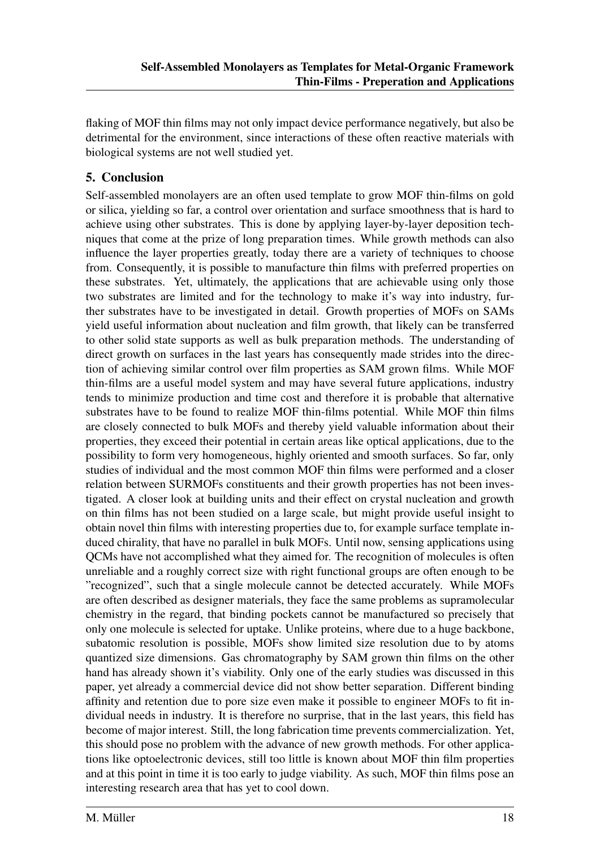flaking of MOF thin films may not only impact device performance negatively, but also be detrimental for the environment, since interactions of these often reactive materials with biological systems are not well studied yet.

## 5. Conclusion

Self-assembled monolayers are an often used template to grow MOF thin-films on gold or silica, yielding so far, a control over orientation and surface smoothness that is hard to achieve using other substrates. This is done by applying layer-by-layer deposition techniques that come at the prize of long preparation times. While growth methods can also influence the layer properties greatly, today there are a variety of techniques to choose from. Consequently, it is possible to manufacture thin films with preferred properties on these substrates. Yet, ultimately, the applications that are achievable using only those two substrates are limited and for the technology to make it's way into industry, further substrates have to be investigated in detail. Growth properties of MOFs on SAMs yield useful information about nucleation and film growth, that likely can be transferred to other solid state supports as well as bulk preparation methods. The understanding of direct growth on surfaces in the last years has consequently made strides into the direction of achieving similar control over film properties as SAM grown films. While MOF thin-films are a useful model system and may have several future applications, industry tends to minimize production and time cost and therefore it is probable that alternative substrates have to be found to realize MOF thin-films potential. While MOF thin films are closely connected to bulk MOFs and thereby yield valuable information about their properties, they exceed their potential in certain areas like optical applications, due to the possibility to form very homogeneous, highly oriented and smooth surfaces. So far, only studies of individual and the most common MOF thin films were performed and a closer relation between SURMOFs constituents and their growth properties has not been investigated. A closer look at building units and their effect on crystal nucleation and growth on thin films has not been studied on a large scale, but might provide useful insight to obtain novel thin films with interesting properties due to, for example surface template induced chirality, that have no parallel in bulk MOFs. Until now, sensing applications using QCMs have not accomplished what they aimed for. The recognition of molecules is often unreliable and a roughly correct size with right functional groups are often enough to be "recognized", such that a single molecule cannot be detected accurately. While MOFs are often described as designer materials, they face the same problems as supramolecular chemistry in the regard, that binding pockets cannot be manufactured so precisely that only one molecule is selected for uptake. Unlike proteins, where due to a huge backbone, subatomic resolution is possible, MOFs show limited size resolution due to by atoms quantized size dimensions. Gas chromatography by SAM grown thin films on the other hand has already shown it's viability. Only one of the early studies was discussed in this paper, yet already a commercial device did not show better separation. Different binding affinity and retention due to pore size even make it possible to engineer MOFs to fit individual needs in industry. It is therefore no surprise, that in the last years, this field has become of major interest. Still, the long fabrication time prevents commercialization. Yet, this should pose no problem with the advance of new growth methods. For other applications like optoelectronic devices, still too little is known about MOF thin film properties and at this point in time it is too early to judge viability. As such, MOF thin films pose an interesting research area that has yet to cool down.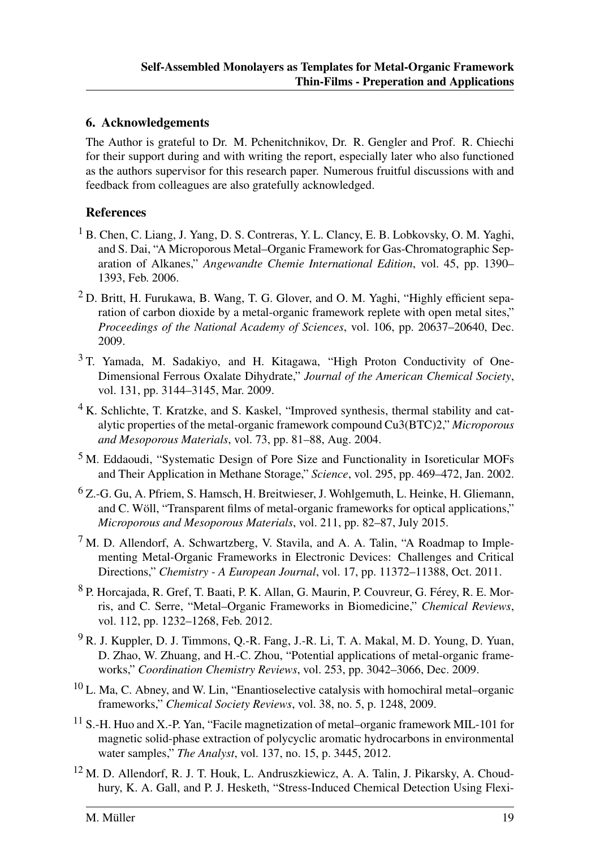#### 6. Acknowledgements

The Author is grateful to Dr. M. Pchenitchnikov, Dr. R. Gengler and Prof. R. Chiechi for their support during and with writing the report, especially later who also functioned as the authors supervisor for this research paper. Numerous fruitful discussions with and feedback from colleagues are also gratefully acknowledged.

#### References

- <sup>1</sup> B. Chen, C. Liang, J. Yang, D. S. Contreras, Y. L. Clancy, E. B. Lobkovsky, O. M. Yaghi, and S. Dai, "A Microporous Metal–Organic Framework for Gas-Chromatographic Separation of Alkanes," *Angewandte Chemie International Edition*, vol. 45, pp. 1390– 1393, Feb. 2006.
- <sup>2</sup> D. Britt, H. Furukawa, B. Wang, T. G. Glover, and O. M. Yaghi, "Highly efficient separation of carbon dioxide by a metal-organic framework replete with open metal sites," *Proceedings of the National Academy of Sciences*, vol. 106, pp. 20637–20640, Dec. 2009.
- $3$  T. Yamada, M. Sadakiyo, and H. Kitagawa, "High Proton Conductivity of One-Dimensional Ferrous Oxalate Dihydrate," *Journal of the American Chemical Society*, vol. 131, pp. 3144–3145, Mar. 2009.
- <sup>4</sup> K. Schlichte, T. Kratzke, and S. Kaskel, "Improved synthesis, thermal stability and catalytic properties of the metal-organic framework compound Cu3(BTC)2," *Microporous and Mesoporous Materials*, vol. 73, pp. 81–88, Aug. 2004.
- <sup>5</sup> M. Eddaoudi, "Systematic Design of Pore Size and Functionality in Isoreticular MOFs and Their Application in Methane Storage," *Science*, vol. 295, pp. 469–472, Jan. 2002.
- $^{6}$  Z.-G. Gu, A. Pfriem, S. Hamsch, H. Breitwieser, J. Wohlgemuth, L. Heinke, H. Gliemann, and C. Woll, "Transparent films of metal-organic frameworks for optical applications," ¨ *Microporous and Mesoporous Materials*, vol. 211, pp. 82–87, July 2015.
- <sup>7</sup> M. D. Allendorf, A. Schwartzberg, V. Stavila, and A. A. Talin, "A Roadmap to Implementing Metal-Organic Frameworks in Electronic Devices: Challenges and Critical Directions," *Chemistry - A European Journal*, vol. 17, pp. 11372–11388, Oct. 2011.
- 8 P. Horcajada, R. Gref, T. Baati, P. K. Allan, G. Maurin, P. Couvreur, G. Férey, R. E. Morris, and C. Serre, "Metal–Organic Frameworks in Biomedicine," *Chemical Reviews*, vol. 112, pp. 1232–1268, Feb. 2012.
- <sup>9</sup> R. J. Kuppler, D. J. Timmons, Q.-R. Fang, J.-R. Li, T. A. Makal, M. D. Young, D. Yuan, D. Zhao, W. Zhuang, and H.-C. Zhou, "Potential applications of metal-organic frameworks," *Coordination Chemistry Reviews*, vol. 253, pp. 3042–3066, Dec. 2009.
- $10$  L. Ma, C. Abney, and W. Lin, "Enantioselective catalysis with homochiral metal–organic frameworks," *Chemical Society Reviews*, vol. 38, no. 5, p. 1248, 2009.
- <sup>11</sup> S.-H. Huo and X.-P. Yan, "Facile magnetization of metal–organic framework MIL-101 for magnetic solid-phase extraction of polycyclic aromatic hydrocarbons in environmental water samples," *The Analyst*, vol. 137, no. 15, p. 3445, 2012.
- $12$  M. D. Allendorf, R. J. T. Houk, L. Andruszkiewicz, A. A. Talin, J. Pikarsky, A. Choudhury, K. A. Gall, and P. J. Hesketh, "Stress-Induced Chemical Detection Using Flexi-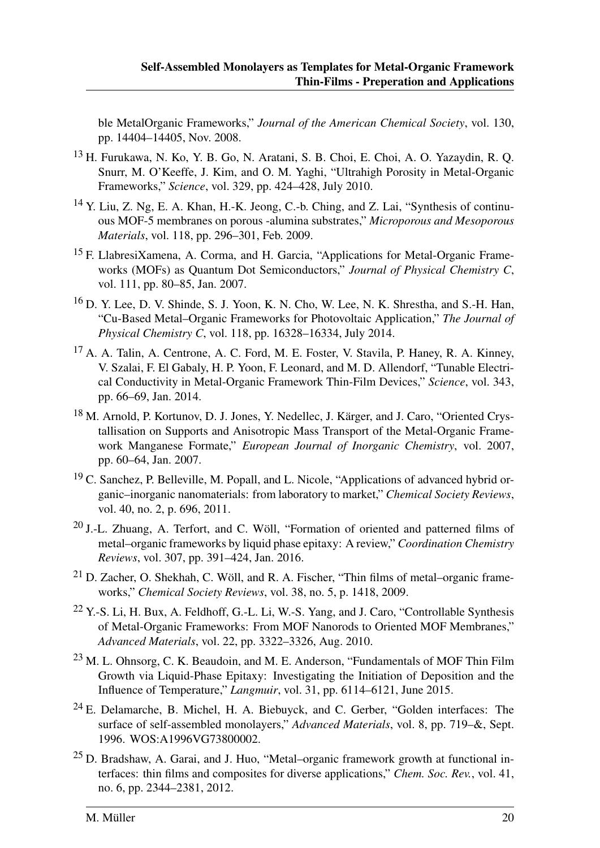ble MetalOrganic Frameworks," *Journal of the American Chemical Society*, vol. 130, pp. 14404–14405, Nov. 2008.

- <sup>13</sup> H. Furukawa, N. Ko, Y. B. Go, N. Aratani, S. B. Choi, E. Choi, A. O. Yazaydin, R. Q. Snurr, M. O'Keeffe, J. Kim, and O. M. Yaghi, "Ultrahigh Porosity in Metal-Organic Frameworks," *Science*, vol. 329, pp. 424–428, July 2010.
- <sup>14</sup> Y. Liu, Z. Ng, E. A. Khan, H.-K. Jeong, C.-b. Ching, and Z. Lai, "Synthesis of continuous MOF-5 membranes on porous -alumina substrates," *Microporous and Mesoporous Materials*, vol. 118, pp. 296–301, Feb. 2009.
- <sup>15</sup> F. LlabresiXamena, A. Corma, and H. Garcia, "Applications for Metal-Organic Frameworks (MOFs) as Quantum Dot Semiconductors," *Journal of Physical Chemistry C*, vol. 111, pp. 80–85, Jan. 2007.
- $16$  D. Y. Lee, D. V. Shinde, S. J. Yoon, K. N. Cho, W. Lee, N. K. Shrestha, and S.-H. Han, "Cu-Based Metal–Organic Frameworks for Photovoltaic Application," *The Journal of Physical Chemistry C*, vol. 118, pp. 16328–16334, July 2014.
- <sup>17</sup> A. A. Talin, A. Centrone, A. C. Ford, M. E. Foster, V. Stavila, P. Haney, R. A. Kinney, V. Szalai, F. El Gabaly, H. P. Yoon, F. Leonard, and M. D. Allendorf, "Tunable Electrical Conductivity in Metal-Organic Framework Thin-Film Devices," *Science*, vol. 343, pp. 66–69, Jan. 2014.
- <sup>18</sup> M. Arnold, P. Kortunov, D. J. Jones, Y. Nedellec, J. Kärger, and J. Caro, "Oriented Crystallisation on Supports and Anisotropic Mass Transport of the Metal-Organic Framework Manganese Formate," *European Journal of Inorganic Chemistry*, vol. 2007, pp. 60–64, Jan. 2007.
- <sup>19</sup> C. Sanchez, P. Belleville, M. Popall, and L. Nicole, "Applications of advanced hybrid organic–inorganic nanomaterials: from laboratory to market," *Chemical Society Reviews*, vol. 40, no. 2, p. 696, 2011.
- $20$  J.-L. Zhuang, A. Terfort, and C. Wöll, "Formation of oriented and patterned films of metal–organic frameworks by liquid phase epitaxy: A review," *Coordination Chemistry Reviews*, vol. 307, pp. 391–424, Jan. 2016.
- $21$  D. Zacher, O. Shekhah, C. Wöll, and R. A. Fischer, "Thin films of metal–organic frameworks," *Chemical Society Reviews*, vol. 38, no. 5, p. 1418, 2009.
- $22$  Y.-S. Li, H. Bux, A. Feldhoff, G.-L. Li, W.-S. Yang, and J. Caro, "Controllable Synthesis of Metal-Organic Frameworks: From MOF Nanorods to Oriented MOF Membranes," *Advanced Materials*, vol. 22, pp. 3322–3326, Aug. 2010.
- <sup>23</sup> M. L. Ohnsorg, C. K. Beaudoin, and M. E. Anderson, "Fundamentals of MOF Thin Film Growth via Liquid-Phase Epitaxy: Investigating the Initiation of Deposition and the Influence of Temperature," *Langmuir*, vol. 31, pp. 6114–6121, June 2015.
- $24$  E. Delamarche, B. Michel, H. A. Biebuyck, and C. Gerber, "Golden interfaces: The surface of self-assembled monolayers," *Advanced Materials*, vol. 8, pp. 719–&, Sept. 1996. WOS:A1996VG73800002.
- $25$  D. Bradshaw, A. Garai, and J. Huo, "Metal–organic framework growth at functional interfaces: thin films and composites for diverse applications," *Chem. Soc. Rev.*, vol. 41, no. 6, pp. 2344–2381, 2012.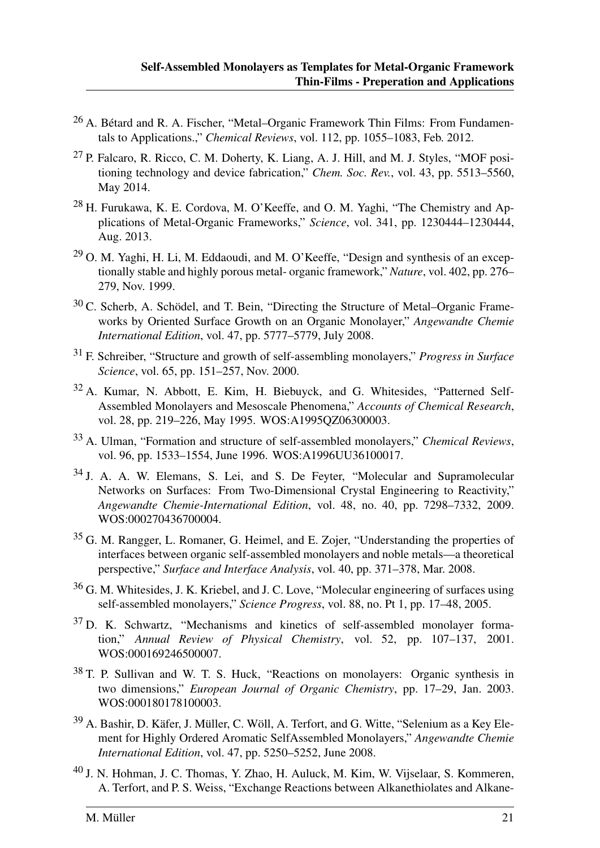- <sup>26</sup> A. Bétard and R. A. Fischer, "Metal–Organic Framework Thin Films: From Fundamentals to Applications.," *Chemical Reviews*, vol. 112, pp. 1055–1083, Feb. 2012.
- <sup>27</sup> P. Falcaro, R. Ricco, C. M. Doherty, K. Liang, A. J. Hill, and M. J. Styles, "MOF positioning technology and device fabrication," *Chem. Soc. Rev.*, vol. 43, pp. 5513–5560, May 2014.
- <sup>28</sup> H. Furukawa, K. E. Cordova, M. O'Keeffe, and O. M. Yaghi, "The Chemistry and Applications of Metal-Organic Frameworks," *Science*, vol. 341, pp. 1230444–1230444, Aug. 2013.
- <sup>29</sup> O. M. Yaghi, H. Li, M. Eddaoudi, and M. O'Keeffe, "Design and synthesis of an exceptionally stable and highly porous metal- organic framework," *Nature*, vol. 402, pp. 276– 279, Nov. 1999.
- $30$  C. Scherb, A. Schödel, and T. Bein, "Directing the Structure of Metal–Organic Frameworks by Oriented Surface Growth on an Organic Monolayer," *Angewandte Chemie International Edition*, vol. 47, pp. 5777–5779, July 2008.
- <sup>31</sup> F. Schreiber, "Structure and growth of self-assembling monolayers," *Progress in Surface Science*, vol. 65, pp. 151–257, Nov. 2000.
- <sup>32</sup> A. Kumar, N. Abbott, E. Kim, H. Biebuyck, and G. Whitesides, "Patterned Self-Assembled Monolayers and Mesoscale Phenomena," *Accounts of Chemical Research*, vol. 28, pp. 219–226, May 1995. WOS:A1995QZ06300003.
- <sup>33</sup> A. Ulman, "Formation and structure of self-assembled monolayers," *Chemical Reviews*, vol. 96, pp. 1533–1554, June 1996. WOS:A1996UU36100017.
- <sup>34</sup> J. A. A. W. Elemans, S. Lei, and S. De Feyter, "Molecular and Supramolecular Networks on Surfaces: From Two-Dimensional Crystal Engineering to Reactivity," *Angewandte Chemie-International Edition*, vol. 48, no. 40, pp. 7298–7332, 2009. WOS:000270436700004.
- <sup>35</sup> G. M. Rangger, L. Romaner, G. Heimel, and E. Zojer, "Understanding the properties of interfaces between organic self-assembled monolayers and noble metals—a theoretical perspective," *Surface and Interface Analysis*, vol. 40, pp. 371–378, Mar. 2008.
- <sup>36</sup> G. M. Whitesides, J. K. Kriebel, and J. C. Love, "Molecular engineering of surfaces using self-assembled monolayers," *Science Progress*, vol. 88, no. Pt 1, pp. 17–48, 2005.
- <sup>37</sup> D. K. Schwartz, "Mechanisms and kinetics of self-assembled monolayer formation," *Annual Review of Physical Chemistry*, vol. 52, pp. 107–137, 2001. WOS:000169246500007.
- <sup>38</sup> T. P. Sullivan and W. T. S. Huck, "Reactions on monolayers: Organic synthesis in two dimensions," *European Journal of Organic Chemistry*, pp. 17–29, Jan. 2003. WOS:000180178100003.
- $39$  A. Bashir, D. Käfer, J. Müller, C. Wöll, A. Terfort, and G. Witte, "Selenium as a Key Element for Highly Ordered Aromatic SelfAssembled Monolayers," *Angewandte Chemie International Edition*, vol. 47, pp. 5250–5252, June 2008.
- <sup>40</sup> J. N. Hohman, J. C. Thomas, Y. Zhao, H. Auluck, M. Kim, W. Vijselaar, S. Kommeren, A. Terfort, and P. S. Weiss, "Exchange Reactions between Alkanethiolates and Alkane-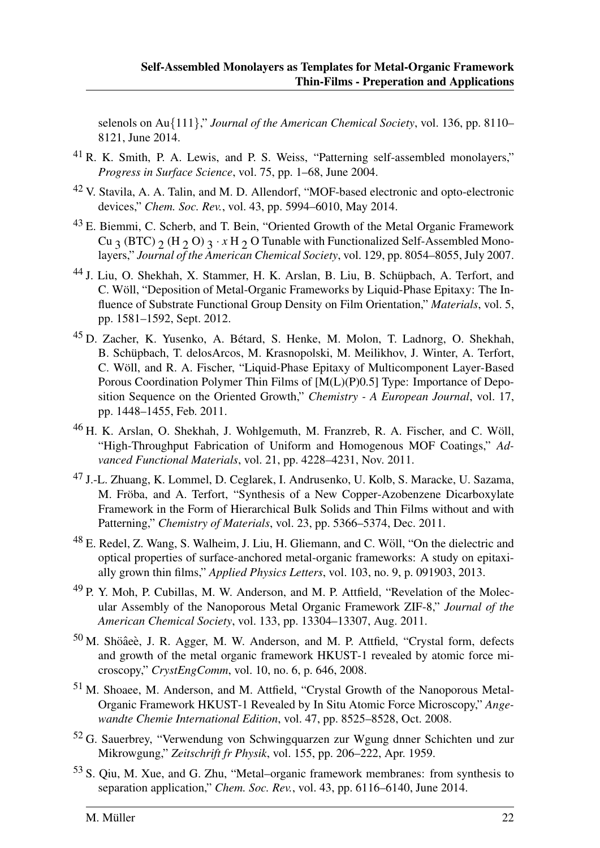selenols on Au{111}," *Journal of the American Chemical Society*, vol. 136, pp. 8110– 8121, June 2014.

- <sup>41</sup> R. K. Smith, P. A. Lewis, and P. S. Weiss, "Patterning self-assembled monolayers," *Progress in Surface Science*, vol. 75, pp. 1–68, June 2004.
- <sup>42</sup> V. Stavila, A. A. Talin, and M. D. Allendorf, "MOF-based electronic and opto-electronic devices," *Chem. Soc. Rev.*, vol. 43, pp. 5994–6010, May 2014.
- <sup>43</sup> E. Biemmi, C. Scherb, and T. Bein, "Oriented Growth of the Metal Organic Framework Cu 3 (BTC)  $_2$  (H  $_2$  O)  $_3 \cdot x$  H  $_2$  O Tunable with Functionalized Self-Assembled Monolayers," *Journal of the American Chemical Society*, vol. 129, pp. 8054–8055, July 2007.
- <sup>44</sup> J. Liu, O. Shekhah, X. Stammer, H. K. Arslan, B. Liu, B. Schüpbach, A. Terfort, and C. Wöll, "Deposition of Metal-Organic Frameworks by Liquid-Phase Epitaxy: The Influence of Substrate Functional Group Density on Film Orientation," *Materials*, vol. 5, pp. 1581–1592, Sept. 2012.
- <sup>45</sup> D. Zacher, K. Yusenko, A. Bétard, S. Henke, M. Molon, T. Ladnorg, O. Shekhah, B. Schüpbach, T. delosArcos, M. Krasnopolski, M. Meilikhov, J. Winter, A. Terfort, C. Woll, and R. A. Fischer, "Liquid-Phase Epitaxy of Multicomponent Layer-Based ¨ Porous Coordination Polymer Thin Films of [M(L)(P)0.5] Type: Importance of Deposition Sequence on the Oriented Growth," *Chemistry - A European Journal*, vol. 17, pp. 1448–1455, Feb. 2011.
- $46$  H. K. Arslan, O. Shekhah, J. Wohlgemuth, M. Franzreb, R. A. Fischer, and C. Wöll, "High-Throughput Fabrication of Uniform and Homogenous MOF Coatings," *Advanced Functional Materials*, vol. 21, pp. 4228–4231, Nov. 2011.
- <sup>47</sup> J.-L. Zhuang, K. Lommel, D. Ceglarek, I. Andrusenko, U. Kolb, S. Maracke, U. Sazama, M. Fröba, and A. Terfort, "Synthesis of a New Copper-Azobenzene Dicarboxylate Framework in the Form of Hierarchical Bulk Solids and Thin Films without and with Patterning," *Chemistry of Materials*, vol. 23, pp. 5366–5374, Dec. 2011.
- <sup>48</sup> E. Redel, Z. Wang, S. Walheim, J. Liu, H. Gliemann, and C. Wöll, "On the dielectric and optical properties of surface-anchored metal-organic frameworks: A study on epitaxially grown thin films," *Applied Physics Letters*, vol. 103, no. 9, p. 091903, 2013.
- <sup>49</sup> P. Y. Moh, P. Cubillas, M. W. Anderson, and M. P. Attfield, "Revelation of the Molecular Assembly of the Nanoporous Metal Organic Framework ZIF-8," *Journal of the American Chemical Society*, vol. 133, pp. 13304–13307, Aug. 2011.
- $50$  M. Shöâeè, J. R. Agger, M. W. Anderson, and M. P. Attfield, "Crystal form, defects and growth of the metal organic framework HKUST-1 revealed by atomic force microscopy," *CrystEngComm*, vol. 10, no. 6, p. 646, 2008.
- <sup>51</sup> M. Shoaee, M. Anderson, and M. Attfield, "Crystal Growth of the Nanoporous Metal-Organic Framework HKUST-1 Revealed by In Situ Atomic Force Microscopy," *Angewandte Chemie International Edition*, vol. 47, pp. 8525–8528, Oct. 2008.
- <sup>52</sup> G. Sauerbrey, "Verwendung von Schwingquarzen zur Wgung dnner Schichten und zur Mikrowgung," *Zeitschrift fr Physik*, vol. 155, pp. 206–222, Apr. 1959.
- <sup>53</sup> S. Qiu, M. Xue, and G. Zhu, "Metal–organic framework membranes: from synthesis to separation application," *Chem. Soc. Rev.*, vol. 43, pp. 6116–6140, June 2014.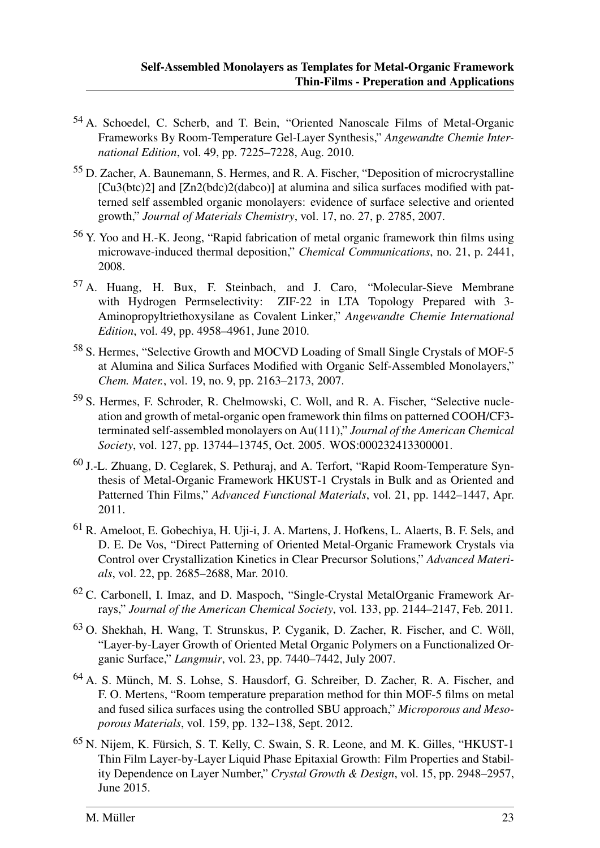- <sup>54</sup> A. Schoedel, C. Scherb, and T. Bein, "Oriented Nanoscale Films of Metal-Organic Frameworks By Room-Temperature Gel-Layer Synthesis," *Angewandte Chemie International Edition*, vol. 49, pp. 7225–7228, Aug. 2010.
- $55$  D. Zacher, A. Baunemann, S. Hermes, and R. A. Fischer, "Deposition of microcrystalline [Cu3(btc)2] and [Zn2(bdc)2(dabco)] at alumina and silica surfaces modified with patterned self assembled organic monolayers: evidence of surface selective and oriented growth," *Journal of Materials Chemistry*, vol. 17, no. 27, p. 2785, 2007.
- <sup>56</sup> Y. Yoo and H.-K. Jeong, "Rapid fabrication of metal organic framework thin films using microwave-induced thermal deposition," *Chemical Communications*, no. 21, p. 2441, 2008.
- <sup>57</sup> A. Huang, H. Bux, F. Steinbach, and J. Caro, "Molecular-Sieve Membrane with Hydrogen Permselectivity: ZIF-22 in LTA Topology Prepared with 3-Aminopropyltriethoxysilane as Covalent Linker," *Angewandte Chemie International Edition*, vol. 49, pp. 4958–4961, June 2010.
- <sup>58</sup> S. Hermes, "Selective Growth and MOCVD Loading of Small Single Crystals of MOF-5 at Alumina and Silica Surfaces Modified with Organic Self-Assembled Monolayers," *Chem. Mater.*, vol. 19, no. 9, pp. 2163–2173, 2007.
- <sup>59</sup> S. Hermes, F. Schroder, R. Chelmowski, C. Woll, and R. A. Fischer, "Selective nucleation and growth of metal-organic open framework thin films on patterned COOH/CF3 terminated self-assembled monolayers on Au(111)," *Journal of the American Chemical Society*, vol. 127, pp. 13744–13745, Oct. 2005. WOS:000232413300001.
- <sup>60</sup> J.-L. Zhuang, D. Ceglarek, S. Pethuraj, and A. Terfort, "Rapid Room-Temperature Synthesis of Metal-Organic Framework HKUST-1 Crystals in Bulk and as Oriented and Patterned Thin Films," *Advanced Functional Materials*, vol. 21, pp. 1442–1447, Apr. 2011.
- <sup>61</sup> R. Ameloot, E. Gobechiya, H. Uji-i, J. A. Martens, J. Hofkens, L. Alaerts, B. F. Sels, and D. E. De Vos, "Direct Patterning of Oriented Metal-Organic Framework Crystals via Control over Crystallization Kinetics in Clear Precursor Solutions," *Advanced Materials*, vol. 22, pp. 2685–2688, Mar. 2010.
- <sup>62</sup> C. Carbonell, I. Imaz, and D. Maspoch, "Single-Crystal MetalOrganic Framework Arrays," *Journal of the American Chemical Society*, vol. 133, pp. 2144–2147, Feb. 2011.
- $63$  O. Shekhah, H. Wang, T. Strunskus, P. Cyganik, D. Zacher, R. Fischer, and C. Wöll, "Layer-by-Layer Growth of Oriented Metal Organic Polymers on a Functionalized Organic Surface," *Langmuir*, vol. 23, pp. 7440–7442, July 2007.
- <sup>64</sup> A. S. Münch, M. S. Lohse, S. Hausdorf, G. Schreiber, D. Zacher, R. A. Fischer, and F. O. Mertens, "Room temperature preparation method for thin MOF-5 films on metal and fused silica surfaces using the controlled SBU approach," *Microporous and Mesoporous Materials*, vol. 159, pp. 132–138, Sept. 2012.
- $65$  N. Nijem, K. Fürsich, S. T. Kelly, C. Swain, S. R. Leone, and M. K. Gilles, "HKUST-1" Thin Film Layer-by-Layer Liquid Phase Epitaxial Growth: Film Properties and Stability Dependence on Layer Number," *Crystal Growth & Design*, vol. 15, pp. 2948–2957, June 2015.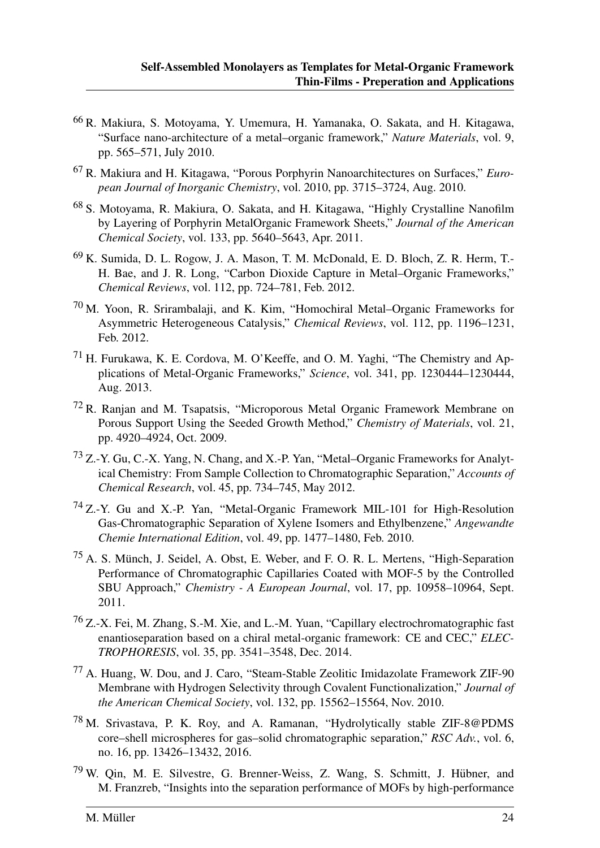- <sup>66</sup> R. Makiura, S. Motoyama, Y. Umemura, H. Yamanaka, O. Sakata, and H. Kitagawa, "Surface nano-architecture of a metal–organic framework," *Nature Materials*, vol. 9, pp. 565–571, July 2010.
- <sup>67</sup> R. Makiura and H. Kitagawa, "Porous Porphyrin Nanoarchitectures on Surfaces," *European Journal of Inorganic Chemistry*, vol. 2010, pp. 3715–3724, Aug. 2010.
- <sup>68</sup> S. Motoyama, R. Makiura, O. Sakata, and H. Kitagawa, "Highly Crystalline Nanofilm by Layering of Porphyrin MetalOrganic Framework Sheets," *Journal of the American Chemical Society*, vol. 133, pp. 5640–5643, Apr. 2011.
- <sup>69</sup> K. Sumida, D. L. Rogow, J. A. Mason, T. M. McDonald, E. D. Bloch, Z. R. Herm, T.- H. Bae, and J. R. Long, "Carbon Dioxide Capture in Metal–Organic Frameworks," *Chemical Reviews*, vol. 112, pp. 724–781, Feb. 2012.
- <sup>70</sup> M. Yoon, R. Srirambalaji, and K. Kim, "Homochiral Metal–Organic Frameworks for Asymmetric Heterogeneous Catalysis," *Chemical Reviews*, vol. 112, pp. 1196–1231, Feb. 2012.
- <sup>71</sup> H. Furukawa, K. E. Cordova, M. O'Keeffe, and O. M. Yaghi, "The Chemistry and Applications of Metal-Organic Frameworks," *Science*, vol. 341, pp. 1230444–1230444, Aug. 2013.
- <sup>72</sup> R. Ranjan and M. Tsapatsis, "Microporous Metal Organic Framework Membrane on Porous Support Using the Seeded Growth Method," *Chemistry of Materials*, vol. 21, pp. 4920–4924, Oct. 2009.
- <sup>73</sup> Z.-Y. Gu, C.-X. Yang, N. Chang, and X.-P. Yan, "Metal–Organic Frameworks for Analytical Chemistry: From Sample Collection to Chromatographic Separation," *Accounts of Chemical Research*, vol. 45, pp. 734–745, May 2012.
- <sup>74</sup> Z.-Y. Gu and X.-P. Yan, "Metal-Organic Framework MIL-101 for High-Resolution Gas-Chromatographic Separation of Xylene Isomers and Ethylbenzene," *Angewandte Chemie International Edition*, vol. 49, pp. 1477–1480, Feb. 2010.
- $^{75}$  A. S. Münch, J. Seidel, A. Obst, E. Weber, and F. O. R. L. Mertens, "High-Separation" Performance of Chromatographic Capillaries Coated with MOF-5 by the Controlled SBU Approach," *Chemistry - A European Journal*, vol. 17, pp. 10958–10964, Sept. 2011.
- <sup>76</sup> Z.-X. Fei, M. Zhang, S.-M. Xie, and L.-M. Yuan, "Capillary electrochromatographic fast enantioseparation based on a chiral metal-organic framework: CE and CEC," *ELEC-TROPHORESIS*, vol. 35, pp. 3541–3548, Dec. 2014.
- <sup>77</sup> A. Huang, W. Dou, and J. Caro, "Steam-Stable Zeolitic Imidazolate Framework ZIF-90 Membrane with Hydrogen Selectivity through Covalent Functionalization," *Journal of the American Chemical Society*, vol. 132, pp. 15562–15564, Nov. 2010.
- <sup>78</sup> M. Srivastava, P. K. Roy, and A. Ramanan, "Hydrolytically stable ZIF-8@PDMS core–shell microspheres for gas–solid chromatographic separation," *RSC Adv.*, vol. 6, no. 16, pp. 13426–13432, 2016.
- $79$  W. Qin, M. E. Silvestre, G. Brenner-Weiss, Z. Wang, S. Schmitt, J. Hübner, and M. Franzreb, "Insights into the separation performance of MOFs by high-performance